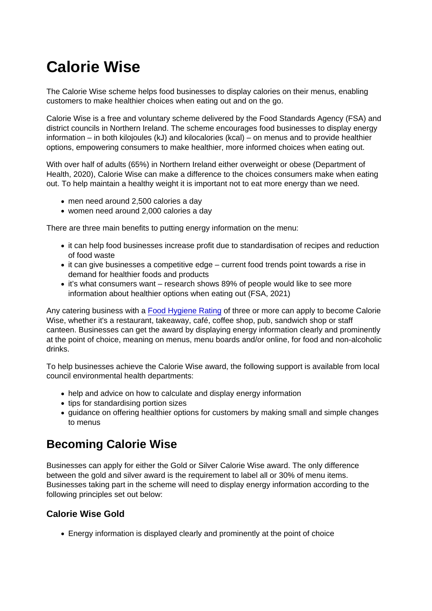## Calorie Wise

The Calorie Wise scheme helps food businesses to display calories on their menus, enabling customers to make healthier choices when eating out and on the go.

Calorie Wise is a free and voluntary scheme delivered by the Food Standards Agency (FSA) and district councils in Northern Ireland. The scheme encourages food businesses to display energy information – in both kilojoules (kJ) and kilocalories (kcal) – on menus and to provide healthier options, empowering consumers to make healthier, more informed choices when eating out.

With over half of adults (65%) in Northern Ireland either overweight or obese (Department of Health, 2020), Calorie Wise can make a difference to the choices consumers make when eating out. To help maintain a healthy weight it is important not to eat more energy than we need.

- men need around 2,500 calories a day
- women need around 2,000 calories a day

There are three main benefits to putting energy information on the menu:

- it can help food businesses increase profit due to standardisation of recipes and reduction of food waste
- it can give businesses a competitive edge current food trends point towards a rise in demand for healthier foods and products
- it's what consumers want research shows 89% of people would like to see more information about healthier options when eating out (FSA, 2021)

Any catering business with a [Food Hygiene Rating](https://www.food.gov.uk/safety-hygiene/food-hygiene-rating-scheme) of three or more can apply to become Calorie Wise, whether it's a restaurant, takeaway, café, coffee shop, pub, sandwich shop or staff canteen. Businesses can get the award by displaying energy information clearly and prominently at the point of choice, meaning on menus, menu boards and/or online, for food and non-alcoholic drinks.

To help businesses achieve the Calorie Wise award, the following support is available from local council environmental health departments:

- help and advice on how to calculate and display energy information
- tips for standardising portion sizes
- guidance on offering healthier options for customers by making small and simple changes to menus

## Becoming Calorie Wise

Businesses can apply for either the Gold or Silver Calorie Wise award. The only difference between the gold and silver award is the requirement to label all or 30% of menu items. Businesses taking part in the scheme will need to display energy information according to the following principles set out below:

## Calorie Wise Gold

Energy information is displayed clearly and prominently at the point of choice